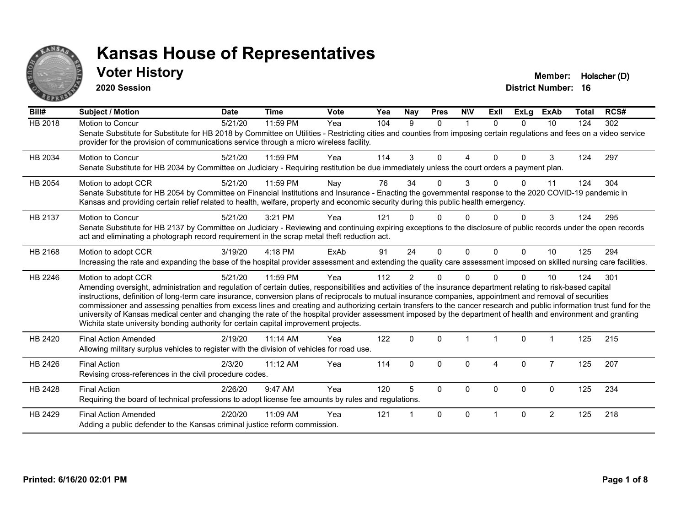

### **Voter History Member: Holscher (D)**

**2020 Session**

| Bill#   | <b>Subject / Motion</b>                                                                                                                                                                                                                                                                                                                                                                                                                                                                                                                                                                                                                                                                                                                                                                  | <b>Date</b> | <b>Time</b> | <b>Vote</b> | Yea | <b>Nay</b>     | <b>Pres</b>  | <b>NIV</b> | Exll     | <b>ExLg</b>  | ExAb           | <b>Total</b> | RCS# |
|---------|------------------------------------------------------------------------------------------------------------------------------------------------------------------------------------------------------------------------------------------------------------------------------------------------------------------------------------------------------------------------------------------------------------------------------------------------------------------------------------------------------------------------------------------------------------------------------------------------------------------------------------------------------------------------------------------------------------------------------------------------------------------------------------------|-------------|-------------|-------------|-----|----------------|--------------|------------|----------|--------------|----------------|--------------|------|
| HB 2018 | Motion to Concur<br>Senate Substitute for Substitute for HB 2018 by Committee on Utilities - Restricting cities and counties from imposing certain regulations and fees on a video service<br>provider for the provision of communications service through a micro wireless facility.                                                                                                                                                                                                                                                                                                                                                                                                                                                                                                    | 5/21/20     | 11:59 PM    | Yea         | 104 | 9              | $\Omega$     | 1          | $\Omega$ | $\Omega$     | 10             | 124          | 302  |
| HB 2034 | <b>Motion to Concur</b><br>Senate Substitute for HB 2034 by Committee on Judiciary - Requiring restitution be due immediately unless the court orders a payment plan.                                                                                                                                                                                                                                                                                                                                                                                                                                                                                                                                                                                                                    | 5/21/20     | 11:59 PM    | Yea         | 114 | 3              | $\Omega$     | Δ          | $\Omega$ | $\Omega$     | 3              | 124          | 297  |
| HB 2054 | Motion to adopt CCR<br>Senate Substitute for HB 2054 by Committee on Financial Institutions and Insurance - Enacting the governmental response to the 2020 COVID-19 pandemic in<br>Kansas and providing certain relief related to health, welfare, property and economic security during this public health emergency.                                                                                                                                                                                                                                                                                                                                                                                                                                                                   | 5/21/20     | 11:59 PM    | Nay         | 76  | 34             | $\Omega$     | 3          |          | <sup>0</sup> | 11             | 124          | 304  |
| HB 2137 | Motion to Concur<br>Senate Substitute for HB 2137 by Committee on Judiciary - Reviewing and continuing expiring exceptions to the disclosure of public records under the open records<br>act and eliminating a photograph record requirement in the scrap metal theft reduction act.                                                                                                                                                                                                                                                                                                                                                                                                                                                                                                     | 5/21/20     | 3:21 PM     | Yea         | 121 |                | ŋ            |            |          |              | 3              | 124          | 295  |
| HB 2168 | Motion to adopt CCR<br>Increasing the rate and expanding the base of the hospital provider assessment and extending the quality care assessment imposed on skilled nursing care facilities.                                                                                                                                                                                                                                                                                                                                                                                                                                                                                                                                                                                              | 3/19/20     | $4:18$ PM   | ExAb        | 91  | 24             | $\Omega$     | $\Omega$   | $\Omega$ | $\Omega$     | 10             | 125          | 294  |
| HB 2246 | Motion to adopt CCR<br>Amending oversight, administration and regulation of certain duties, responsibilities and activities of the insurance department relating to risk-based capital<br>instructions, definition of long-term care insurance, conversion plans of reciprocals to mutual insurance companies, appointment and removal of securities<br>commissioner and assessing penalties from excess lines and creating and authorizing certain transfers to the cancer research and public information trust fund for the<br>university of Kansas medical center and changing the rate of the hospital provider assessment imposed by the department of health and environment and granting<br>Wichita state university bonding authority for certain capital improvement projects. | 5/21/20     | 11:59 PM    | Yea         | 112 | $\overline{2}$ | $\Omega$     | $\Omega$   |          | $\Omega$     | 10             | 124          | 301  |
| HB 2420 | <b>Final Action Amended</b><br>Allowing military surplus vehicles to register with the division of vehicles for road use.                                                                                                                                                                                                                                                                                                                                                                                                                                                                                                                                                                                                                                                                | 2/19/20     | $11:14$ AM  | Yea         | 122 | $\mathbf{0}$   | $\Omega$     |            |          | $\Omega$     |                | 125          | 215  |
| HB 2426 | <b>Final Action</b><br>Revising cross-references in the civil procedure codes.                                                                                                                                                                                                                                                                                                                                                                                                                                                                                                                                                                                                                                                                                                           | 2/3/20      | 11:12 AM    | Yea         | 114 | $\Omega$       | $\Omega$     | $\Omega$   | 4        | $\mathbf{0}$ | $\overline{7}$ | 125          | 207  |
| HB 2428 | <b>Final Action</b><br>Requiring the board of technical professions to adopt license fee amounts by rules and regulations.                                                                                                                                                                                                                                                                                                                                                                                                                                                                                                                                                                                                                                                               | 2/26/20     | 9:47 AM     | Yea         | 120 | 5              | $\mathbf{0}$ | $\Omega$   | $\Omega$ | $\Omega$     | $\Omega$       | 125          | 234  |
| HB 2429 | <b>Final Action Amended</b><br>Adding a public defender to the Kansas criminal justice reform commission.                                                                                                                                                                                                                                                                                                                                                                                                                                                                                                                                                                                                                                                                                | 2/20/20     | 11:09 AM    | Yea         | 121 |                | $\mathbf{0}$ | $\Omega$   |          | $\Omega$     | $\overline{2}$ | 125          | 218  |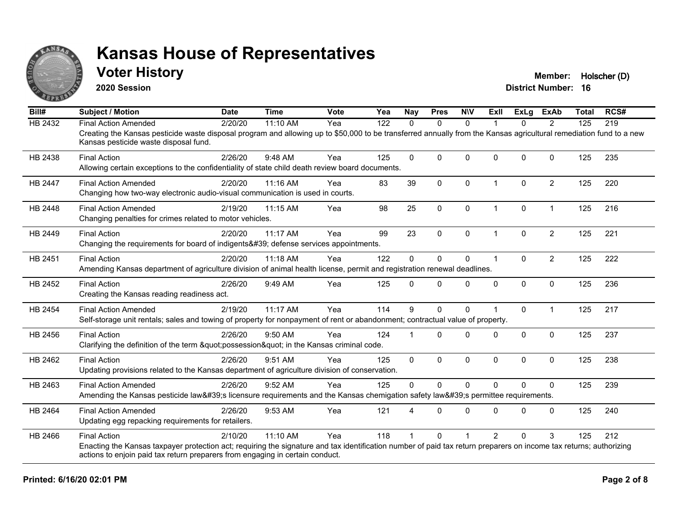

### **Voter History Member: Holscher (D)**

**2020 Session**

| Bill#          | <b>Subject / Motion</b>                                                                                                                                                                                     | <b>Date</b> | <b>Time</b> | <b>Vote</b> | Yea | <b>Nay</b> | <b>Pres</b>  | <b>NIV</b>  | ExII           | ExLa         | <b>ExAb</b>    | <b>Total</b> | RCS# |
|----------------|-------------------------------------------------------------------------------------------------------------------------------------------------------------------------------------------------------------|-------------|-------------|-------------|-----|------------|--------------|-------------|----------------|--------------|----------------|--------------|------|
| HB 2432        | <b>Final Action Amended</b>                                                                                                                                                                                 | 2/20/20     | 11:10 AM    | Yea         | 122 | $\Omega$   | $\mathbf{0}$ | $\Omega$    | 1              | $\Omega$     | $\overline{2}$ | 125          | 219  |
|                | Creating the Kansas pesticide waste disposal program and allowing up to \$50,000 to be transferred annually from the Kansas agricultural remediation fund to a new<br>Kansas pesticide waste disposal fund. |             |             |             |     |            |              |             |                |              |                |              |      |
| HB 2438        | <b>Final Action</b>                                                                                                                                                                                         | 2/26/20     | 9:48 AM     | Yea         | 125 | $\Omega$   | $\mathbf{0}$ | $\Omega$    | $\Omega$       | $\Omega$     | $\Omega$       | 125          | 235  |
|                | Allowing certain exceptions to the confidentiality of state child death review board documents.                                                                                                             |             |             |             |     |            |              |             |                |              |                |              |      |
| <b>HB 2447</b> | <b>Final Action Amended</b>                                                                                                                                                                                 | 2/20/20     | 11:16 AM    | Yea         | 83  | 39         | $\mathbf{0}$ | $\Omega$    | $\overline{1}$ | $\Omega$     | $\overline{2}$ | 125          | 220  |
|                | Changing how two-way electronic audio-visual communication is used in courts.                                                                                                                               |             |             |             |     |            |              |             |                |              |                |              |      |
| HB 2448        | <b>Final Action Amended</b>                                                                                                                                                                                 | 2/19/20     | 11:15 AM    | Yea         | 98  | 25         | $\mathbf 0$  | $\mathbf 0$ | $\mathbf 1$    | 0            | $\mathbf{1}$   | 125          | 216  |
|                | Changing penalties for crimes related to motor vehicles.                                                                                                                                                    |             |             |             |     |            |              |             |                |              |                |              |      |
| HB 2449        | <b>Final Action</b>                                                                                                                                                                                         | 2/20/20     | 11:17 AM    | Yea         | 99  | 23         | $\mathbf{0}$ | $\Omega$    | $\overline{1}$ | $\Omega$     | $\overline{c}$ | 125          | 221  |
|                | Changing the requirements for board of indigents' defense services appointments.                                                                                                                            |             |             |             |     |            |              |             |                |              |                |              |      |
| HB 2451        | <b>Final Action</b>                                                                                                                                                                                         | 2/20/20     | 11:18 AM    | Yea         | 122 | 0          | $\mathbf 0$  | 0           | 1              | $\mathbf{0}$ | $\overline{2}$ | 125          | 222  |
|                | Amending Kansas department of agriculture division of animal health license, permit and registration renewal deadlines.                                                                                     |             |             |             |     |            |              |             |                |              |                |              |      |
| HB 2452        | <b>Final Action</b>                                                                                                                                                                                         | 2/26/20     | 9:49 AM     | Yea         | 125 | 0          | $\Omega$     | $\Omega$    | $\Omega$       | $\Omega$     | $\mathbf 0$    | 125          | 236  |
|                | Creating the Kansas reading readiness act.                                                                                                                                                                  |             |             |             |     |            |              |             |                |              |                |              |      |
| <b>HB 2454</b> | <b>Final Action Amended</b>                                                                                                                                                                                 | 2/19/20     | 11:17 AM    | Yea         | 114 | 9          | $\mathbf{0}$ | $\Omega$    |                | $\Omega$     | $\mathbf{1}$   | 125          | 217  |
|                | Self-storage unit rentals; sales and towing of property for nonpayment of rent or abandonment; contractual value of property.                                                                               |             |             |             |     |            |              |             |                |              |                |              |      |
| HB 2456        | <b>Final Action</b>                                                                                                                                                                                         | 2/26/20     | 9:50 AM     | Yea         | 124 |            | $\Omega$     | $\Omega$    | $\Omega$       | $\Omega$     | $\mathbf 0$    | 125          | 237  |
|                | Clarifying the definition of the term "possession" in the Kansas criminal code.                                                                                                                             |             |             |             |     |            |              |             |                |              |                |              |      |
| HB 2462        | <b>Final Action</b>                                                                                                                                                                                         | 2/26/20     | 9:51 AM     | Yea         | 125 | $\Omega$   | $\mathbf{0}$ | $\Omega$    | $\Omega$       | $\Omega$     | $\mathbf{0}$   | 125          | 238  |
|                | Updating provisions related to the Kansas department of agriculture division of conservation.                                                                                                               |             |             |             |     |            |              |             |                |              |                |              |      |
| HB 2463        | <b>Final Action Amended</b>                                                                                                                                                                                 | 2/26/20     | 9:52 AM     | Yea         | 125 | $\Omega$   | $\Omega$     | $\Omega$    | $\Omega$       | $\Omega$     | $\Omega$       | 125          | 239  |
|                | Amending the Kansas pesticide law's licensure requirements and the Kansas chemigation safety law's permittee requirements.                                                                                  |             |             |             |     |            |              |             |                |              |                |              |      |
| HB 2464        | <b>Final Action Amended</b>                                                                                                                                                                                 | 2/26/20     | 9:53 AM     | Yea         | 121 | 4          | $\Omega$     | $\Omega$    | $\Omega$       | $\Omega$     | $\Omega$       | 125          | 240  |
|                | Updating egg repacking requirements for retailers.                                                                                                                                                          |             |             |             |     |            |              |             |                |              |                |              |      |
| HB 2466        | <b>Final Action</b>                                                                                                                                                                                         | 2/10/20     | 11:10 AM    | Yea         | 118 |            | $\Omega$     |             | $\mathcal{P}$  | U            | 3              | 125          | 212  |
|                | Enacting the Kansas taxpayer protection act; requiring the signature and tax identification number of paid tax return preparers on income tax returns; authorizing                                          |             |             |             |     |            |              |             |                |              |                |              |      |
|                | actions to enjoin paid tax return preparers from engaging in certain conduct.                                                                                                                               |             |             |             |     |            |              |             |                |              |                |              |      |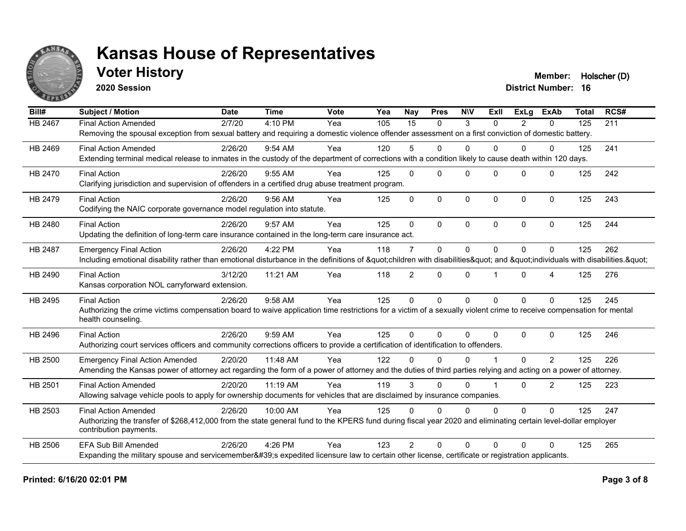

**2020 Session**

**Voter History Member: Holscher (D)** 

| Bill#          | <b>Subject / Motion</b>                                                                                                                                             | <b>Date</b> | <b>Time</b> | Vote | Yea | <b>Nay</b>      | <b>Pres</b>  | <b>NIV</b>  | ExIl     | <b>ExLg</b> | <b>ExAb</b>    | <b>Total</b> | RCS# |
|----------------|---------------------------------------------------------------------------------------------------------------------------------------------------------------------|-------------|-------------|------|-----|-----------------|--------------|-------------|----------|-------------|----------------|--------------|------|
| <b>HB 2467</b> | <b>Final Action Amended</b>                                                                                                                                         | 2/7/20      | 4:10 PM     | Yea  | 105 | $\overline{15}$ | $\Omega$     | 3           | $\Omega$ | 2           | $\mathbf{0}$   | 125          | 211  |
|                | Removing the spousal exception from sexual battery and requiring a domestic violence offender assessment on a first conviction of domestic battery.                 |             |             |      |     |                 |              |             |          |             |                |              |      |
| HB 2469        | <b>Final Action Amended</b>                                                                                                                                         | 2/26/20     | $9:54$ AM   | Yea  | 120 | 5               | $\Omega$     | $\Omega$    | 0        | $\Omega$    | $\Omega$       | 125          | 241  |
|                | Extending terminal medical release to inmates in the custody of the department of corrections with a condition likely to cause death within 120 days.               |             |             |      |     |                 |              |             |          |             |                |              |      |
| HB 2470        | <b>Final Action</b>                                                                                                                                                 | 2/26/20     | 9:55 AM     | Yea  | 125 | $\Omega$        | $\Omega$     | $\Omega$    | $\Omega$ | $\Omega$    | $\Omega$       | 125          | 242  |
|                | Clarifying jurisdiction and supervision of offenders in a certified drug abuse treatment program.                                                                   |             |             |      |     |                 |              |             |          |             |                |              |      |
| HB 2479        | <b>Final Action</b>                                                                                                                                                 | 2/26/20     | 9:56 AM     | Yea  | 125 | $\Omega$        | $\mathbf 0$  | $\mathbf 0$ | $\Omega$ | $\Omega$    | $\mathbf 0$    | 125          | 243  |
|                | Codifying the NAIC corporate governance model regulation into statute.                                                                                              |             |             |      |     |                 |              |             |          |             |                |              |      |
| HB 2480        | <b>Final Action</b>                                                                                                                                                 | 2/26/20     | 9:57 AM     | Yea  | 125 | $\Omega$        | $\Omega$     | $\Omega$    | $\Omega$ | $\Omega$    | $\Omega$       | 125          | 244  |
|                | Updating the definition of long-term care insurance contained in the long-term care insurance act.                                                                  |             |             |      |     |                 |              |             |          |             |                |              |      |
| <b>HB 2487</b> | <b>Emergency Final Action</b>                                                                                                                                       | 2/26/20     | 4:22 PM     | Yea  | 118 | $\overline{7}$  | $\mathbf{0}$ | $\Omega$    | $\Omega$ | $\Omega$    | $\Omega$       | 125          | 262  |
|                | Including emotional disability rather than emotional disturbance in the definitions of "children with disabilities" and "individuals with disabilities. "           |             |             |      |     |                 |              |             |          |             |                |              |      |
| HB 2490        | <b>Final Action</b>                                                                                                                                                 | 3/12/20     | 11:21 AM    | Yea  | 118 | $\overline{2}$  | $\Omega$     | $\Omega$    |          | $\Omega$    | 4              | 125          | 276  |
|                | Kansas corporation NOL carryforward extension.                                                                                                                      |             |             |      |     |                 |              |             |          |             |                |              |      |
| HB 2495        | <b>Final Action</b>                                                                                                                                                 | 2/26/20     | 9:58 AM     | Yea  | 125 | $\mathbf{0}$    | $\Omega$     | $\Omega$    | $\Omega$ | $\Omega$    | $\Omega$       | 125          | 245  |
|                | Authorizing the crime victims compensation board to waive application time restrictions for a victim of a sexually violent crime to receive compensation for mental |             |             |      |     |                 |              |             |          |             |                |              |      |
|                | health counseling.                                                                                                                                                  |             |             |      |     |                 |              |             |          |             |                |              |      |
| HB 2496        | <b>Final Action</b>                                                                                                                                                 | 2/26/20     | 9:59 AM     | Yea  | 125 | $\Omega$        | $\Omega$     | $\Omega$    | $\Omega$ | $\Omega$    | $\mathbf 0$    | 125          | 246  |
|                | Authorizing court services officers and community corrections officers to provide a certification of identification to offenders.                                   |             |             |      |     |                 |              |             |          |             |                |              |      |
| HB 2500        | <b>Emergency Final Action Amended</b>                                                                                                                               | 2/20/20     | 11:48 AM    | Yea  | 122 | U               | $\Omega$     | $\Omega$    |          | 0           | 2              | 125          | 226  |
|                | Amending the Kansas power of attorney act regarding the form of a power of attorney and the duties of third parties relying and acting on a power of attorney.      |             |             |      |     |                 |              |             |          |             |                |              |      |
| HB 2501        | <b>Final Action Amended</b>                                                                                                                                         | 2/20/20     | 11:19 AM    | Yea  | 119 | 3               | $\Omega$     | $\Omega$    |          | $\Omega$    | $\overline{2}$ | 125          | 223  |
|                | Allowing salvage vehicle pools to apply for ownership documents for vehicles that are disclaimed by insurance companies.                                            |             |             |      |     |                 |              |             |          |             |                |              |      |
| HB 2503        | <b>Final Action Amended</b>                                                                                                                                         | 2/26/20     | 10:00 AM    | Yea  | 125 | $\Omega$        | $\Omega$     | $\mathbf 0$ | $\Omega$ | $\Omega$    | $\Omega$       | 125          | 247  |
|                | Authorizing the transfer of \$268,412,000 from the state general fund to the KPERS fund during fiscal year 2020 and eliminating certain level-dollar employer       |             |             |      |     |                 |              |             |          |             |                |              |      |
|                | contribution payments.                                                                                                                                              |             |             |      |     |                 |              |             |          |             |                |              |      |
| <b>HB 2506</b> | <b>EFA Sub Bill Amended</b>                                                                                                                                         | 2/26/20     | 4:26 PM     | Yea  | 123 | $\mathcal{P}$   | $\Omega$     | $\Omega$    | $\Omega$ | 0           | $\Omega$       | 125          | 265  |
|                | Expanding the military spouse and servicemember's expedited licensure law to certain other license, certificate or registration applicants.                         |             |             |      |     |                 |              |             |          |             |                |              |      |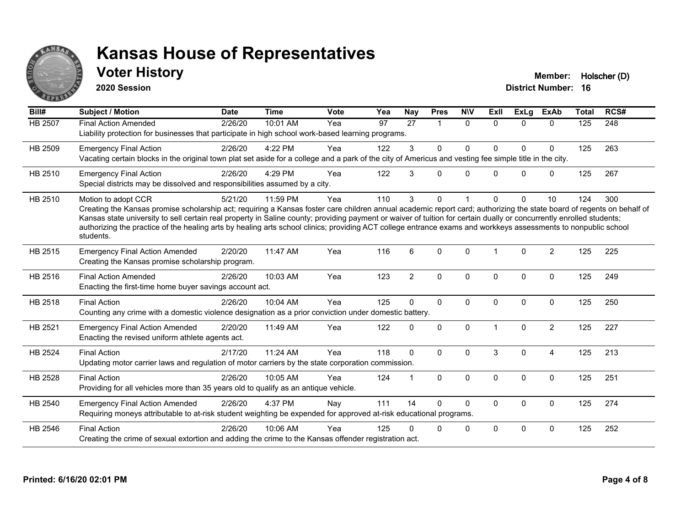

**2020 Session**

**Voter History Member: Holscher (D)** 

| Bill#          | <b>Subject / Motion</b>                                                                                                                                                                                                                                                                                                                                                                                                                                                                                                                             | <b>Date</b> | <b>Time</b> | <b>Vote</b> | Yea             | Nay             | <b>Pres</b>             | <b>NIV</b>   | ExII         | <b>ExLg</b>  | <b>ExAb</b>    | <b>Total</b>     | RCS# |
|----------------|-----------------------------------------------------------------------------------------------------------------------------------------------------------------------------------------------------------------------------------------------------------------------------------------------------------------------------------------------------------------------------------------------------------------------------------------------------------------------------------------------------------------------------------------------------|-------------|-------------|-------------|-----------------|-----------------|-------------------------|--------------|--------------|--------------|----------------|------------------|------|
| <b>HB 2507</b> | <b>Final Action Amended</b><br>Liability protection for businesses that participate in high school work-based learning programs.                                                                                                                                                                                                                                                                                                                                                                                                                    | 2/26/20     | 10:01 AM    | Yea         | $\overline{97}$ | $\overline{27}$ | $\overline{\mathbf{1}}$ | $\mathbf{0}$ | $\Omega$     | $\Omega$     | $\mathbf{0}$   | $\overline{125}$ | 248  |
| HB 2509        | <b>Emergency Final Action</b><br>Vacating certain blocks in the original town plat set aside for a college and a park of the city of Americus and vesting fee simple title in the city.                                                                                                                                                                                                                                                                                                                                                             | 2/26/20     | 4:22 PM     | Yea         | 122             | 3               | 0                       | 0            | U            | 0            | 0              | 125              | 263  |
| HB 2510        | <b>Emergency Final Action</b><br>Special districts may be dissolved and responsibilities assumed by a city.                                                                                                                                                                                                                                                                                                                                                                                                                                         | 2/26/20     | 4:29 PM     | Yea         | 122             | 3               | $\Omega$                | $\mathbf{0}$ | $\Omega$     | $\mathbf{0}$ | $\mathbf 0$    | 125              | 267  |
| HB 2510        | Motion to adopt CCR<br>Creating the Kansas promise scholarship act; requiring a Kansas foster care children annual academic report card; authorizing the state board of regents on behalf of<br>Kansas state university to sell certain real property in Saline county; providing payment or waiver of tuition for certain dually or concurrently enrolled students;<br>authorizing the practice of the healing arts by healing arts school clinics; providing ACT college entrance exams and workkeys assessments to nonpublic school<br>students. | 5/21/20     | 11:59 PM    | Yea         | 110             | 3               | 0                       |              | U            | $\Omega$     | 10             | 124              | 300  |
| HB 2515        | <b>Emergency Final Action Amended</b><br>Creating the Kansas promise scholarship program.                                                                                                                                                                                                                                                                                                                                                                                                                                                           | 2/20/20     | 11:47 AM    | Yea         | 116             | 6               | $\Omega$                | $\mathbf{0}$ |              | $\Omega$     | $\overline{2}$ | 125              | 225  |
| HB 2516        | <b>Final Action Amended</b><br>Enacting the first-time home buyer savings account act.                                                                                                                                                                                                                                                                                                                                                                                                                                                              | 2/26/20     | 10:03 AM    | Yea         | 123             | $\overline{2}$  | $\Omega$                | 0            | $\Omega$     | $\mathbf{0}$ | $\mathbf{0}$   | 125              | 249  |
| HB 2518        | <b>Final Action</b><br>Counting any crime with a domestic violence designation as a prior conviction under domestic battery.                                                                                                                                                                                                                                                                                                                                                                                                                        | 2/26/20     | 10:04 AM    | Yea         | 125             | $\Omega$        | $\mathbf 0$             | 0            | $\mathbf{0}$ | $\mathbf 0$  | $\mathbf 0$    | 125              | 250  |
| HB 2521        | <b>Emergency Final Action Amended</b><br>Enacting the revised uniform athlete agents act.                                                                                                                                                                                                                                                                                                                                                                                                                                                           | 2/20/20     | 11:49 AM    | Yea         | 122             | 0               | $\mathbf{0}$            | $\Omega$     |              | $\Omega$     | $\overline{2}$ | 125              | 227  |
| <b>HB 2524</b> | <b>Final Action</b><br>Updating motor carrier laws and regulation of motor carriers by the state corporation commission.                                                                                                                                                                                                                                                                                                                                                                                                                            | 2/17/20     | 11:24 AM    | Yea         | 118             | $\Omega$        | $\Omega$                | $\Omega$     | 3            | $\mathbf{0}$ | 4              | 125              | 213  |
| HB 2528        | <b>Final Action</b><br>Providing for all vehicles more than 35 years old to qualify as an antique vehicle.                                                                                                                                                                                                                                                                                                                                                                                                                                          | 2/26/20     | 10:05 AM    | Yea         | 124             |                 | $\Omega$                | $\Omega$     | $\Omega$     | $\mathbf{0}$ | $\mathbf{0}$   | 125              | 251  |
| HB 2540        | <b>Emergency Final Action Amended</b><br>Requiring moneys attributable to at-risk student weighting be expended for approved at-risk educational programs.                                                                                                                                                                                                                                                                                                                                                                                          | 2/26/20     | 4:37 PM     | Nay         | 111             | 14              | $\Omega$                | $\mathbf{0}$ | $\Omega$     | $\mathbf{0}$ | $\Omega$       | 125              | 274  |
| HB 2546        | <b>Final Action</b><br>Creating the crime of sexual extortion and adding the crime to the Kansas offender registration act.                                                                                                                                                                                                                                                                                                                                                                                                                         | 2/26/20     | 10:06 AM    | Yea         | 125             | n               | 0                       | 0            | $\Omega$     | $\Omega$     | $\mathbf 0$    | 125              | 252  |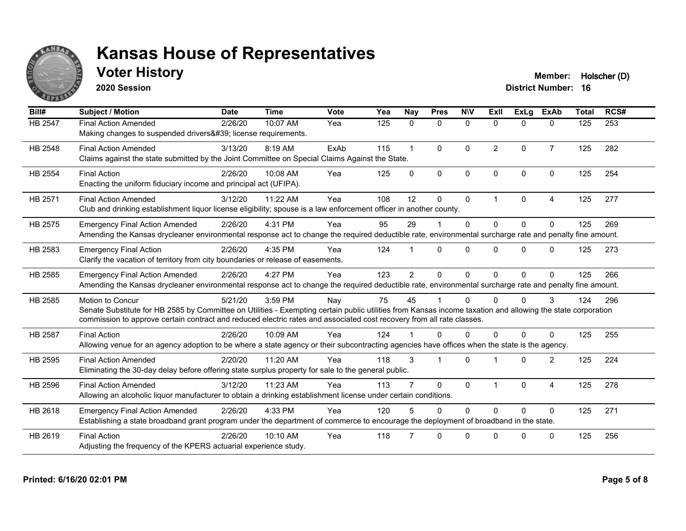

**2020 Session**

**Voter History Member: Holscher (D)** 

| Bill#   | <b>Subject / Motion</b>                                                                                                                                                                                                                                                                                  | <b>Date</b> | <b>Time</b> | <b>Vote</b> | Yea | Nay            | <b>Pres</b>             | <b>NIV</b>  | ExII           | <b>ExLg</b>  | <b>ExAb</b>    | <b>Total</b> | RCS# |
|---------|----------------------------------------------------------------------------------------------------------------------------------------------------------------------------------------------------------------------------------------------------------------------------------------------------------|-------------|-------------|-------------|-----|----------------|-------------------------|-------------|----------------|--------------|----------------|--------------|------|
| HB 2547 | <b>Final Action Amended</b><br>Making changes to suspended drivers' license requirements.                                                                                                                                                                                                                | 2/26/20     | 10:07 AM    | Yea         | 125 | $\mathbf{0}$   | $\mathbf{0}$            | 0           | $\Omega$       | $\Omega$     | $\mathbf{0}$   | 125          | 253  |
| HB 2548 | <b>Final Action Amended</b><br>Claims against the state submitted by the Joint Committee on Special Claims Against the State.                                                                                                                                                                            | 3/13/20     | 8:19 AM     | ExAb        | 115 | $\mathbf{1}$   | $\Omega$                | $\mathbf 0$ | $\overline{2}$ | $\Omega$     | $\overline{7}$ | 125          | 282  |
| HB 2554 | <b>Final Action</b><br>Enacting the uniform fiduciary income and principal act (UFIPA).                                                                                                                                                                                                                  | 2/26/20     | 10:08 AM    | Yea         | 125 | $\mathbf 0$    | $\Omega$                | $\mathbf 0$ | $\Omega$       | $\mathbf{0}$ | $\Omega$       | 125          | 254  |
| HB 2571 | <b>Final Action Amended</b><br>Club and drinking establishment liquor license eligibility; spouse is a law enforcement officer in another county.                                                                                                                                                        | 3/12/20     | 11:22 AM    | Yea         | 108 | 12             | $\Omega$                | $\Omega$    |                | $\Omega$     | 4              | 125          | 277  |
| HB 2575 | <b>Emergency Final Action Amended</b><br>Amending the Kansas drycleaner environmental response act to change the required deductible rate, environmental surcharge rate and penalty fine amount.                                                                                                         | 2/26/20     | 4:31 PM     | Yea         | 95  | 29             |                         | $\mathbf 0$ | $\Omega$       | $\Omega$     | $\Omega$       | 125          | 269  |
| HB 2583 | <b>Emergency Final Action</b><br>Clarify the vacation of territory from city boundaries or release of easements.                                                                                                                                                                                         | 2/26/20     | 4:35 PM     | Yea         | 124 |                | $\Omega$                | 0           | $\Omega$       | $\Omega$     | $\Omega$       | 125          | 273  |
| HB 2585 | <b>Emergency Final Action Amended</b><br>Amending the Kansas drycleaner environmental response act to change the required deductible rate, environmental surcharge rate and penalty fine amount.                                                                                                         | 2/26/20     | 4:27 PM     | Yea         | 123 | $\overline{2}$ | $\Omega$                | $\Omega$    | $\Omega$       | $\Omega$     | $\Omega$       | 125          | 266  |
| HB 2585 | Motion to Concur<br>Senate Substitute for HB 2585 by Committee on Utilities - Exempting certain public utilities from Kansas income taxation and allowing the state corporation<br>commission to approve certain contract and reduced electric rates and associated cost recovery from all rate classes. | 5/21/20     | 3:59 PM     | Nay         | 75  | 45             |                         | 0           |                | $\Omega$     | 3              | 124          | 296  |
| HB 2587 | <b>Final Action</b><br>Allowing venue for an agency adoption to be where a state agency or their subcontracting agencies have offices when the state is the agency.                                                                                                                                      | 2/26/20     | 10:09 AM    | Yea         | 124 |                | $\Omega$                | $\Omega$    | U              | $\Omega$     | $\Omega$       | 125          | 255  |
| HB 2595 | <b>Final Action Amended</b><br>Eliminating the 30-day delay before offering state surplus property for sale to the general public.                                                                                                                                                                       | 2/20/20     | 11:20 AM    | Yea         | 118 | 3              | $\overline{\mathbf{1}}$ | $\Omega$    |                | $\Omega$     | $\overline{2}$ | 125          | 224  |
| HB 2596 | <b>Final Action Amended</b><br>Allowing an alcoholic liquor manufacturer to obtain a drinking establishment license under certain conditions.                                                                                                                                                            | 3/12/20     | 11:23 AM    | Yea         | 113 |                | $\Omega$                | $\Omega$    |                | $\Omega$     | 4              | 125          | 278  |
| HB 2618 | <b>Emergency Final Action Amended</b><br>Establishing a state broadband grant program under the department of commerce to encourage the deployment of broadband in the state.                                                                                                                            | 2/26/20     | 4:33 PM     | Yea         | 120 | 5              | $\Omega$                | $\Omega$    | $\Omega$       | $\Omega$     | $\Omega$       | 125          | 271  |
| HB 2619 | <b>Final Action</b><br>Adjusting the frequency of the KPERS actuarial experience study.                                                                                                                                                                                                                  | 2/26/20     | $10:10$ AM  | Yea         | 118 |                | $\Omega$                | $\Omega$    | ∩              | $\Omega$     | $\Omega$       | 125          | 256  |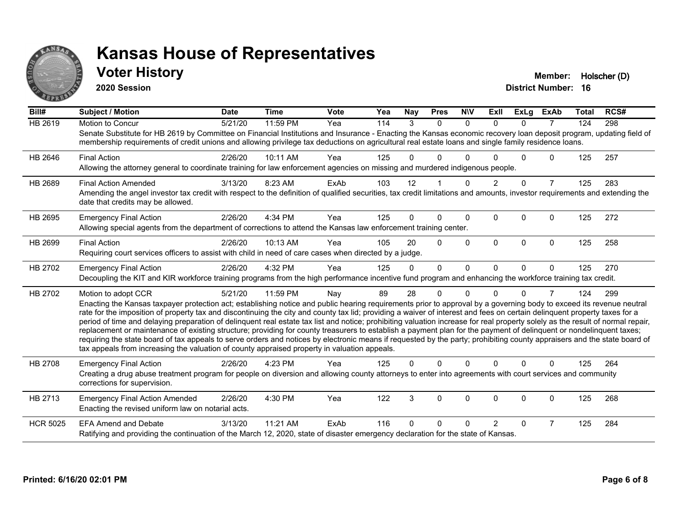

### **Voter History Member: Holscher (D)**

**2020 Session**

| Bill#           | <b>Subject / Motion</b>                                                                                                                                                                                                                                                                                                                                                                                                                                                                                                                                                                                                                                                                                                                                                                                                                                                                                                                                                                                       | <b>Date</b> | <b>Time</b> | <b>Vote</b> | Yea | <b>Nay</b>   | <b>Pres</b>    | <b>NIV</b>   | ExII           | <b>ExLg</b> | <b>ExAb</b>    | Total | RCS# |
|-----------------|---------------------------------------------------------------------------------------------------------------------------------------------------------------------------------------------------------------------------------------------------------------------------------------------------------------------------------------------------------------------------------------------------------------------------------------------------------------------------------------------------------------------------------------------------------------------------------------------------------------------------------------------------------------------------------------------------------------------------------------------------------------------------------------------------------------------------------------------------------------------------------------------------------------------------------------------------------------------------------------------------------------|-------------|-------------|-------------|-----|--------------|----------------|--------------|----------------|-------------|----------------|-------|------|
| HB 2619         | Motion to Concur<br>Senate Substitute for HB 2619 by Committee on Financial Institutions and Insurance - Enacting the Kansas economic recovery loan deposit program, updating field of<br>membership requirements of credit unions and allowing privilege tax deductions on agricultural real estate loans and single family residence loans.                                                                                                                                                                                                                                                                                                                                                                                                                                                                                                                                                                                                                                                                 | 5/21/20     | 11:59 PM    | Yea         | 114 | 3            | $\Omega$       | $\Omega$     | $\Omega$       | $\Omega$    | $\overline{7}$ | 124   | 298  |
| HB 2646         | <b>Final Action</b><br>Allowing the attorney general to coordinate training for law enforcement agencies on missing and murdered indigenous people.                                                                                                                                                                                                                                                                                                                                                                                                                                                                                                                                                                                                                                                                                                                                                                                                                                                           | 2/26/20     | 10:11 AM    | Yea         | 125 | 0            | 0              | <sup>0</sup> |                | U           | 0              | 125   | 257  |
| HB 2689         | <b>Final Action Amended</b><br>Amending the angel investor tax credit with respect to the definition of qualified securities, tax credit limitations and amounts, investor requirements and extending the<br>date that credits may be allowed.                                                                                                                                                                                                                                                                                                                                                                                                                                                                                                                                                                                                                                                                                                                                                                | 3/13/20     | 8:23 AM     | ExAb        | 103 | 12           |                | $\Omega$     |                | $\Omega$    | $\overline{7}$ | 125   | 283  |
| HB 2695         | <b>Emergency Final Action</b><br>Allowing special agents from the department of corrections to attend the Kansas law enforcement training center.                                                                                                                                                                                                                                                                                                                                                                                                                                                                                                                                                                                                                                                                                                                                                                                                                                                             | 2/26/20     | 4:34 PM     | Yea         | 125 | 0            | $\Omega$       | $\Omega$     | $\Omega$       | $\Omega$    | 0              | 125   | 272  |
| HB 2699         | <b>Final Action</b><br>Requiring court services officers to assist with child in need of care cases when directed by a judge.                                                                                                                                                                                                                                                                                                                                                                                                                                                                                                                                                                                                                                                                                                                                                                                                                                                                                 | 2/26/20     | 10:13 AM    | Yea         | 105 | 20           | $\Omega$       | $\Omega$     | $\Omega$       | $\Omega$    | $\Omega$       | 125   | 258  |
| HB 2702         | <b>Emergency Final Action</b><br>Decoupling the KIT and KIR workforce training programs from the high performance incentive fund program and enhancing the workforce training tax credit.                                                                                                                                                                                                                                                                                                                                                                                                                                                                                                                                                                                                                                                                                                                                                                                                                     | 2/26/20     | 4:32 PM     | Yea         | 125 | $\Omega$     | $\overline{0}$ | $\mathbf{0}$ | $\Omega$       | $\Omega$    | $\Omega$       | 125   | 270  |
| HB 2702         | Motion to adopt CCR<br>Enacting the Kansas taxpayer protection act; establishing notice and public hearing requirements prior to approval by a governing body to exceed its revenue neutral<br>rate for the imposition of property tax and discontinuing the city and county tax lid; providing a waiver of interest and fees on certain delinquent property taxes for a<br>period of time and delaying preparation of delinquent real estate tax list and notice; prohibiting valuation increase for real property solely as the result of normal repair,<br>replacement or maintenance of existing structure; providing for county treasurers to establish a payment plan for the payment of delinquent or nondelinquent taxes;<br>requiring the state board of tax appeals to serve orders and notices by electronic means if requested by the party; prohibiting county appraisers and the state board of<br>tax appeals from increasing the valuation of county appraised property in valuation appeals. | 5/21/20     | 11:59 PM    | Nay         | 89  | 28           | 0              | $\Omega$     | U              | $\Omega$    | 7              | 124   | 299  |
| <b>HB 2708</b>  | <b>Emergency Final Action</b><br>Creating a drug abuse treatment program for people on diversion and allowing county attorneys to enter into agreements with court services and community<br>corrections for supervision.                                                                                                                                                                                                                                                                                                                                                                                                                                                                                                                                                                                                                                                                                                                                                                                     | 2/26/20     | 4:23 PM     | Yea         | 125 | 0            | 0              | $\Omega$     | $\Omega$       | $\Omega$    | $\Omega$       | 125   | 264  |
| HB 2713         | <b>Emergency Final Action Amended</b><br>Enacting the revised uniform law on notarial acts.                                                                                                                                                                                                                                                                                                                                                                                                                                                                                                                                                                                                                                                                                                                                                                                                                                                                                                                   | 2/26/20     | 4:30 PM     | Yea         | 122 | $\mathbf{3}$ | 0              | $\mathbf 0$  | $\mathbf 0$    | $\mathbf 0$ | 0              | 125   | 268  |
| <b>HCR 5025</b> | <b>EFA Amend and Debate</b><br>Ratifying and providing the continuation of the March 12, 2020, state of disaster emergency declaration for the state of Kansas.                                                                                                                                                                                                                                                                                                                                                                                                                                                                                                                                                                                                                                                                                                                                                                                                                                               | 3/13/20     | 11:21 AM    | ExAb        | 116 | 0            | 0              | n            | $\overline{2}$ | 0           | $\overline{7}$ | 125   | 284  |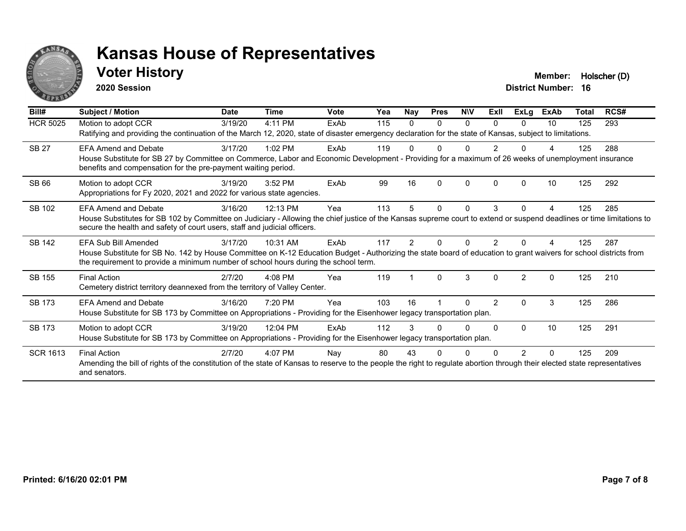

### **Voter History Member: Holscher (D)**

**2020 Session**

| Bill#           | Subject / Motion                                                                                                                                                                                                                                         | <b>Date</b> | <b>Time</b> | <b>Vote</b> | Yea | Nay           | <b>Pres</b> | <b>NIV</b> | ExII           | ExLg          | <b>ExAb</b> | <b>Total</b> | RCS# |
|-----------------|----------------------------------------------------------------------------------------------------------------------------------------------------------------------------------------------------------------------------------------------------------|-------------|-------------|-------------|-----|---------------|-------------|------------|----------------|---------------|-------------|--------------|------|
| <b>HCR 5025</b> | Motion to adopt CCR<br>Ratifying and providing the continuation of the March 12, 2020, state of disaster emergency declaration for the state of Kansas, subject to limitations.                                                                          | 3/19/20     | 4:11 PM     | ExAb        | 115 | 0             | 0           | 0          | 0              | $\Omega$      | 10          | 125          | 293  |
|                 |                                                                                                                                                                                                                                                          |             |             |             |     |               |             |            |                |               |             |              |      |
| <b>SB 27</b>    | <b>EFA Amend and Debate</b>                                                                                                                                                                                                                              | 3/17/20     | $1:02$ PM   | ExAb        | 119 |               | U           | 0          | $\overline{2}$ | <sup>n</sup>  | Δ           | 125          | 288  |
|                 | House Substitute for SB 27 by Committee on Commerce, Labor and Economic Development - Providing for a maximum of 26 weeks of unemployment insurance<br>benefits and compensation for the pre-payment waiting period.                                     |             |             |             |     |               |             |            |                |               |             |              |      |
| SB 66           | Motion to adopt CCR                                                                                                                                                                                                                                      | 3/19/20     | 3:52 PM     | ExAb        | 99  | 16            | $\Omega$    | $\Omega$   | $\Omega$       | $\Omega$      | 10          | 125          | 292  |
|                 | Appropriations for Fy 2020, 2021 and 2022 for various state agencies.                                                                                                                                                                                    |             |             |             |     |               |             |            |                |               |             |              |      |
| SB 102          | <b>EFA Amend and Debate</b>                                                                                                                                                                                                                              | 3/16/20     | 12:13 PM    | Yea         | 113 | 5             | 0           | $\Omega$   | 3              | $\Omega$      | 4           | 125          | 285  |
|                 | House Substitutes for SB 102 by Committee on Judiciary - Allowing the chief justice of the Kansas supreme court to extend or suspend deadlines or time limitations to<br>secure the health and safety of court users, staff and judicial officers.       |             |             |             |     |               |             |            |                |               |             |              |      |
| SB 142          | EFA Sub Bill Amended                                                                                                                                                                                                                                     | 3/17/20     | 10:31 AM    | ExAb        | 117 | $\mathcal{P}$ | $\Omega$    | 0          | $\mathcal{P}$  |               |             | 125          | 287  |
|                 | House Substitute for SB No. 142 by House Committee on K-12 Education Budget - Authorizing the state board of education to grant waivers for school districts from<br>the requirement to provide a minimum number of school hours during the school term. |             |             |             |     |               |             |            |                |               |             |              |      |
| <b>SB 155</b>   | <b>Final Action</b>                                                                                                                                                                                                                                      | 2/7/20      | 4:08 PM     | Yea         | 119 |               | $\Omega$    | 3          | $\Omega$       | $\mathcal{P}$ | $\Omega$    | 125          | 210  |
|                 | Cemetery district territory deannexed from the territory of Valley Center.                                                                                                                                                                               |             |             |             |     |               |             |            |                |               |             |              |      |
| <b>SB 173</b>   | <b>EFA Amend and Debate</b>                                                                                                                                                                                                                              | 3/16/20     | 7:20 PM     | Yea         | 103 | 16            |             | $\Omega$   | $\overline{2}$ | $\Omega$      | 3           | 125          | 286  |
|                 | House Substitute for SB 173 by Committee on Appropriations - Providing for the Eisenhower legacy transportation plan.                                                                                                                                    |             |             |             |     |               |             |            |                |               |             |              |      |
| <b>SB 173</b>   | Motion to adopt CCR                                                                                                                                                                                                                                      | 3/19/20     | 12:04 PM    | ExAb        | 112 | 3             |             | 0          | <sup>0</sup>   | $\Omega$      | 10          | 125          | 291  |
|                 | House Substitute for SB 173 by Committee on Appropriations - Providing for the Eisenhower legacy transportation plan.                                                                                                                                    |             |             |             |     |               |             |            |                |               |             |              |      |
| <b>SCR 1613</b> | <b>Final Action</b>                                                                                                                                                                                                                                      | 2/7/20      | $4:07$ PM   | Nay         | 80  | 43            |             | O          |                |               | N           | 125          | 209  |
|                 | Amending the bill of rights of the constitution of the state of Kansas to reserve to the people the right to regulate abortion through their elected state representatives<br>and senators.                                                              |             |             |             |     |               |             |            |                |               |             |              |      |